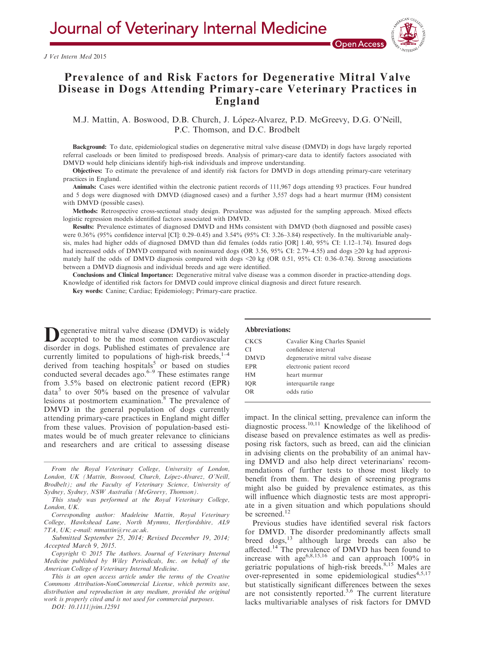

# Prevalence of and Risk Factors for Degenerative Mitral Valve Disease in Dogs Attending Primary-care Veterinary Practices in England

M.J. Mattin, A. Boswood, D.B. Church, J. López-Alvarez, P.D. McGreevy, D.G. O'Neill, P.C. Thomson, and D.C. Brodbelt

Background: To date, epidemiological studies on degenerative mitral valve disease (DMVD) in dogs have largely reported referral caseloads or been limited to predisposed breeds. Analysis of primary-care data to identify factors associated with DMVD would help clinicians identify high-risk individuals and improve understanding.

Objectives: To estimate the prevalence of and identify risk factors for DMVD in dogs attending primary-care veterinary practices in England.

Animals: Cases were identified within the electronic patient records of 111,967 dogs attending 93 practices. Four hundred and 5 dogs were diagnosed with DMVD (diagnosed cases) and a further 3,557 dogs had a heart murmur (HM) consistent with DMVD (possible cases).

Methods: Retrospective cross-sectional study design. Prevalence was adjusted for the sampling approach. Mixed effects logistic regression models identified factors associated with DMVD.

Results: Prevalence estimates of diagnosed DMVD and HMs consistent with DMVD (both diagnosed and possible cases) were 0.36% (95% confidence interval [CI]: 0.29–0.45) and 3.54% (95% CI: 3.26–3.84) respectively. In the multivariable analysis, males had higher odds of diagnosed DMVD than did females (odds ratio [OR] 1.40, 95% CI: 1.12–1.74). Insured dogs had increased odds of DMVD compared with noninsured dogs (OR 3.56, 95% CI: 2.79–4.55) and dogs  $\geq$ 20 kg had approximately half the odds of DMVD diagnosis compared with dogs <20 kg (OR 0.51, 95% CI: 0.36–0.74). Strong associations between a DMVD diagnosis and individual breeds and age were identified.

Conclusions and Clinical Importance: Degenerative mitral valve disease was a common disorder in practice-attending dogs. Knowledge of identified risk factors for DMVD could improve clinical diagnosis and direct future research.

Key words: Canine; Cardiac; Epidemiology; Primary-care practice.

**D**egenerative mitral valve disease (DMVD) is widely accepted to be the most common cardiovascular disorder in dogs. Published estimates of prevalence are currently limited to populations of high-risk breeds, $1-4$ derived from teaching hospitals<sup>5</sup> or based on studies conducted several decades ago. $6-9$  These estimates range from 3.5% based on electronic patient record (EPR)  $data<sup>5</sup>$  to over 50% based on the presence of valvular lesions at postmortem examination.<sup>8</sup> The prevalence of DMVD in the general population of dogs currently attending primary-care practices in England might differ from these values. Provision of population-based estimates would be of much greater relevance to clinicians and researchers and are critical to assessing disease

From the Royal Veterinary College, University of London, London, UK (Mattin, Boswood, Church, López-Alvarez, O'Neill, Brodbelt); and the Faculty of Veterinary Science, University of Sydney, Sydney, NSW Australia (McGreevy, Thomson).

This study was performed at the Royal Veterinary College, London, UK.

Corresponding author: Madeleine Mattin, Royal Veterinary College, Hawkshead Lane, North Mymms, Hertfordshire, AL9 7TA, UK; e-mail: mmattin@rvc.ac.uk.

Submitted September 25, 2014; Revised December 19, 2014; Accepted March 9, 2015.

Copyright © 2015 The Authors. Journal of Veterinary Internal Medicine published by Wiley Periodicals, Inc. on behalf of the American College of Veterinary Internal Medicine.

This is an open access article under the terms of the [Creative](http://www.rvc.ac.uk/VetCompass) [Commons Attribution-NonCommercial](http://www.rvc.ac.uk/VetCompass) License, which permits use, distribution and reproduction in any medium, provided the original work is properly cited and is not used for commercial purposes.

DOI: 10.1111/jvim.12591

#### Abbreviations:

| <b>CKCS</b> | Cavalier King Charles Spaniel     |
|-------------|-----------------------------------|
| СI          | confidence interval               |
| <b>DMVD</b> | degenerative mitral valve disease |
| <b>EPR</b>  | electronic patient record         |
| <b>HM</b>   | heart murmur                      |
| IQR         | interquartile range               |
| <b>OR</b>   | odds ratio                        |
|             |                                   |

impact. In the clinical setting, prevalence can inform the diagnostic process.10,11 Knowledge of the likelihood of disease based on prevalence estimates as well as predisposing risk factors, such as breed, can aid the clinician in advising clients on the probability of an animal having DMVD and also help direct veterinarians' recommendations of further tests to those most likely to benefit from them. The design of screening programs might also be guided by prevalence estimates, as this will influence which diagnostic tests are most appropriate in a given situation and which populations should be screened.<sup>12</sup>

Previous studies have identified several risk factors for DMVD. The disorder predominantly affects small breed dogs,13 although large breeds can also be affected.<sup>14</sup> The prevalence of DMVD has been found to increase with  $\text{age}^{6,8,15,16}$  and can approach 100% in geriatric populations of high-risk breeds.<sup>8,15</sup> Males are over-represented in some epidemiological studies<sup>4,5,17</sup> but statistically significant differences between the sexes are not consistently reported.<sup>3,6</sup> The current literature lacks multivariable analyses of risk factors for DMVD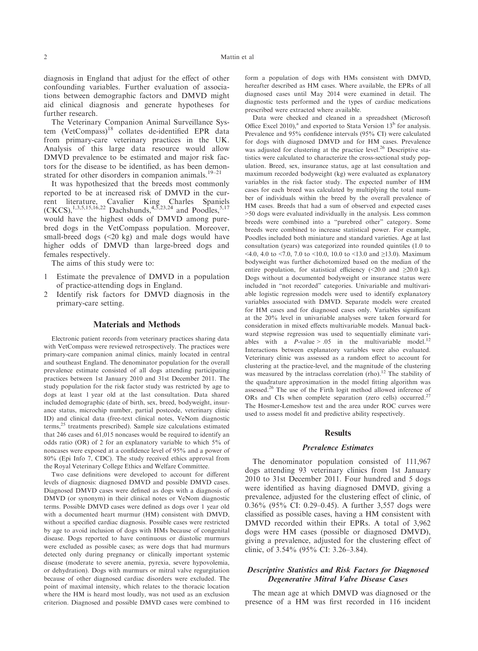diagnosis in England that adjust for the effect of other confounding variables. Further evaluation of associations between demographic factors and DMVD might aid clinical diagnosis and generate hypotheses for further research.

The Veterinary Companion Animal Surveillance System (VetCompass)<sup>18</sup> collates de-identified EPR data from primary-care veterinary practices in the UK. Analysis of this large data resource would allow DMVD prevalence to be estimated and major risk factors for the disease to be identified, as has been demonstrated for other disorders in companion animals.<sup>19–21</sup>

It was hypothesized that the breeds most commonly reported to be at increased risk of DMVD in the current literature, Cavalier King Charles Spaniels  $(CKCS),^{1,3,5,15,16,22}$  Dachshunds,<sup>4,5,23,24</sup> and Poodles,<sup>5,17</sup> would have the highest odds of DMVD among purebred dogs in the VetCompass population. Moreover, small-breed dogs (<20 kg) and male dogs would have higher odds of DMVD than large-breed dogs and females respectively.

The aims of this study were to:

- 1 Estimate the prevalence of DMVD in a population of practice-attending dogs in England.
- 2 Identify risk factors for DMVD diagnosis in the primary-care setting.

#### Materials and Methods

Electronic patient records from veterinary practices sharing data with VetCompass were reviewed retrospectively. The practices were primary-care companion animal clinics, mainly located in central and southeast England. The denominator population for the overall prevalence estimate consisted of all dogs attending participating practices between 1st January 2010 and 31st December 2011. The study population for the risk factor study was restricted by age to dogs at least 1 year old at the last consultation. Data shared included demographic (date of birth, sex, breed, bodyweight, insurance status, microchip number, partial postcode, veterinary clinic ID) and clinical data (free-text clinical notes, VeNom diagnostic terms, $25$  treatments prescribed). Sample size calculations estimated that 246 cases and 61,015 noncases would be required to identify an odds ratio (OR) of 2 for an explanatory variable to which 5% of noncases were exposed at a confidence level of 95% and a power of 80% (Epi Info 7, CDC). The study received ethics approval from the Royal Veterinary College Ethics and Welfare Committee.

Two case definitions were developed to account for different levels of diagnosis: diagnosed DMVD and possible DMVD cases. Diagnosed DMVD cases were defined as dogs with a diagnosis of DMVD (or synonym) in their clinical notes or VeNom diagnostic terms. Possible DMVD cases were defined as dogs over 1 year old with a documented heart murmur (HM) consistent with DMVD, without a specified cardiac diagnosis. Possible cases were restricted by age to avoid inclusion of dogs with HMs because of congenital disease. Dogs reported to have continuous or diastolic murmurs were excluded as possible cases; as were dogs that had murmurs detected only during pregnancy or clinically important systemic disease (moderate to severe anemia, pyrexia, severe hypovolemia, or dehydration). Dogs with murmurs or mitral valve regurgitation because of other diagnosed cardiac disorders were excluded. The point of maximal intensity, which relates to the thoracic location where the HM is heard most loudly, was not used as an exclusion criterion. Diagnosed and possible DMVD cases were combined to

form a population of dogs with HMs consistent with DMVD, hereafter described as HM cases. Where available, the EPRs of all diagnosed cases until May 2014 were examined in detail. The diagnostic tests performed and the types of cardiac medications prescribed were extracted where available.

Data were checked and cleaned in a spreadsheet (Microsoft Office Excel 2010),<sup>a</sup> and exported to Stata Version  $13<sup>b</sup>$  for analysis. Prevalence and 95% confidence intervals (95% CI) were calculated for dogs with diagnosed DMVD and for HM cases. Prevalence was adjusted for clustering at the practice level.<sup>26</sup> Descriptive statistics were calculated to characterize the cross-sectional study population. Breed, sex, insurance status, age at last consultation and maximum recorded bodyweight (kg) were evaluated as explanatory variables in the risk factor study. The expected number of HM cases for each breed was calculated by multiplying the total number of individuals within the breed by the overall prevalence of HM cases. Breeds that had a sum of observed and expected cases >50 dogs were evaluated individually in the analysis. Less common breeds were combined into a "purebred other" category. Some breeds were combined to increase statistical power. For example, Poodles included both miniature and standard varieties. Age at last consultation (years) was categorized into rounded quintiles (1.0 to  $\leq$ 4.0, 4.0 to  $\leq$ 7.0, 7.0 to  $\leq$ 10.0, 10.0 to  $\leq$ 13.0 and  $\geq$ 13.0). Maximum bodyweight was further dichotomized based on the median of the entire population, for statistical efficiency  $\langle 20.0 \text{ and } 220.0 \text{ kg} \rangle$ . Dogs without a documented bodyweight or insurance status were included in "not recorded" categories. Univariable and multivariable logistic regression models were used to identify explanatory variables associated with DMVD. Separate models were created for HM cases and for diagnosed cases only. Variables significant at the 20% level in univariable analyses were taken forward for consideration in mixed effects multivariable models. Manual backward stepwise regression was used to sequentially eliminate variables with a  $P$ -value > .05 in the multivariable model.<sup>12</sup> Interactions between explanatory variables were also evaluated. Veterinary clinic was assessed as a random effect to account for clustering at the practice-level, and the magnitude of the clustering was measured by the intraclass correlation (rho).<sup>12</sup> The stability of the quadrature approximation in the model fitting algorithm was assessed.26 The use of the Firth logit method allowed inference of ORs and CIs when complete separation (zero cells) occurred.<sup>27</sup> The Hosmer-Lemeshow test and the area under ROC curves were used to assess model fit and predictive ability respectively.

#### **Results**

#### Prevalence Estimates

The denominator population consisted of 111,967 dogs attending 93 veterinary clinics from 1st January 2010 to 31st December 2011. Four hundred and 5 dogs were identified as having diagnosed DMVD, giving a prevalence, adjusted for the clustering effect of clinic, of 0.36% (95% CI: 0.29–0.45). A further 3,557 dogs were classified as possible cases, having a HM consistent with DMVD recorded within their EPRs. A total of 3,962 dogs were HM cases (possible or diagnosed DMVD), giving a prevalence, adjusted for the clustering effect of clinic, of 3.54% (95% CI: 3.26–3.84).

#### Descriptive Statistics and Risk Factors for Diagnosed Degenerative Mitral Valve Disease Cases

The mean age at which DMVD was diagnosed or the presence of a HM was first recorded in 116 incident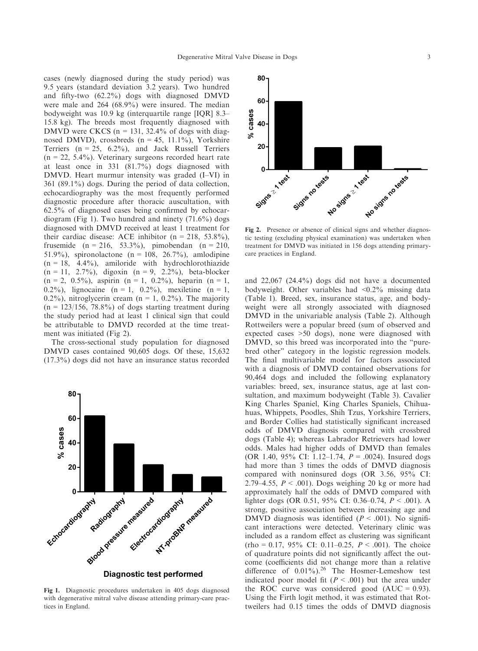cases (newly diagnosed during the study period) was 9.5 years (standard deviation 3.2 years). Two hundred and fifty-two (62.2%) dogs with diagnosed DMVD were male and 264 (68.9%) were insured. The median bodyweight was 10.9 kg (interquartile range [IQR] 8.3– 15.8 kg). The breeds most frequently diagnosed with DMVD were CKCS ( $n = 131$ , 32.4% of dogs with diagnosed DMVD), crossbreds ( $n = 45$ , 11.1%), Yorkshire Terriers  $(n = 25, 6.2\%)$ , and Jack Russell Terriers  $(n = 22, 5.4\%)$ . Veterinary surgeons recorded heart rate at least once in 331 (81.7%) dogs diagnosed with DMVD. Heart murmur intensity was graded (I–VI) in 361 (89.1%) dogs. During the period of data collection, echocardiography was the most frequently performed diagnostic procedure after thoracic auscultation, with 62.5% of diagnosed cases being confirmed by echocardiogram (Fig 1). Two hundred and ninety (71.6%) dogs diagnosed with DMVD received at least 1 treatment for their cardiac disease: ACE inhibitor ( $n = 218$ , 53.8%), frusemide  $(n = 216, 53.3\%)$ , pimobendan  $(n = 210,$ 51.9%), spironolactone (n = 108, 26.7%), amlodipine  $(n = 18, 4.4\%)$ , amiloride with hydrochlorothiazide  $(n = 11, 2.7\%)$ , digoxin  $(n = 9, 2.2\%)$ , beta-blocker  $(n = 2, 0.5\%)$ , aspirin  $(n = 1, 0.2\%)$ , heparin  $(n = 1, 0.2\%)$ 0.2%), lignocaine  $(n = 1, 0.2\%)$ , mexiletine  $(n = 1, 0.2\%)$ 0.2%), nitroglycerin cream ( $n = 1$ , 0.2%). The majority  $(n = 123/156, 78.8%)$  of dogs starting treatment during the study period had at least 1 clinical sign that could be attributable to DMVD recorded at the time treatment was initiated (Fig 2).

The cross-sectional study population for diagnosed DMVD cases contained 90,605 dogs. Of these, 15,632 (17.3%) dogs did not have an insurance status recorded



Fig 1. Diagnostic procedures undertaken in 405 dogs diagnosed with degenerative mitral valve disease attending primary-care practices in England.



Fig 2. Presence or absence of clinical signs and whether diagnostic testing (excluding physical examination) was undertaken when treatment for DMVD was initiated in 156 dogs attending primarycare practices in England.

and 22,067 (24.4%) dogs did not have a documented bodyweight. Other variables had <0.2% missing data (Table 1). Breed, sex, insurance status, age, and bodyweight were all strongly associated with diagnosed DMVD in the univariable analysis (Table 2). Although Rottweilers were a popular breed (sum of observed and expected cases >50 dogs), none were diagnosed with DMVD, so this breed was incorporated into the "purebred other" category in the logistic regression models. The final multivariable model for factors associated with a diagnosis of DMVD contained observations for 90,464 dogs and included the following explanatory variables: breed, sex, insurance status, age at last consultation, and maximum bodyweight (Table 3). Cavalier King Charles Spaniel, King Charles Spaniels, Chihuahuas, Whippets, Poodles, Shih Tzus, Yorkshire Terriers, and Border Collies had statistically significant increased odds of DMVD diagnosis compared with crossbred dogs (Table 4); whereas Labrador Retrievers had lower odds. Males had higher odds of DMVD than females (OR 1.40, 95% CI: 1.12–1.74,  $P = .0024$ ). Insured dogs had more than 3 times the odds of DMVD diagnosis compared with noninsured dogs (OR 3.56, 95% CI: 2.79–4.55,  $P < .001$ ). Dogs weighing 20 kg or more had approximately half the odds of DMVD compared with lighter dogs (OR 0.51, 95% CI: 0.36–0.74,  $P < .001$ ). A strong, positive association between increasing age and DMVD diagnosis was identified ( $P < .001$ ). No significant interactions were detected. Veterinary clinic was included as a random effect as clustering was significant  $(rho = 0.17, 95\% \text{ CI: } 0.11-0.25, P < .001)$ . The choice of quadrature points did not significantly affect the outcome (coefficients did not change more than a relative difference of  $0.01\%$ ).<sup>26</sup> The Hosmer-Lemeshow test indicated poor model fit  $(P < .001)$  but the area under the ROC curve was considered good  $(AUC = 0.93)$ . Using the Firth logit method, it was estimated that Rottweilers had 0.15 times the odds of DMVD diagnosis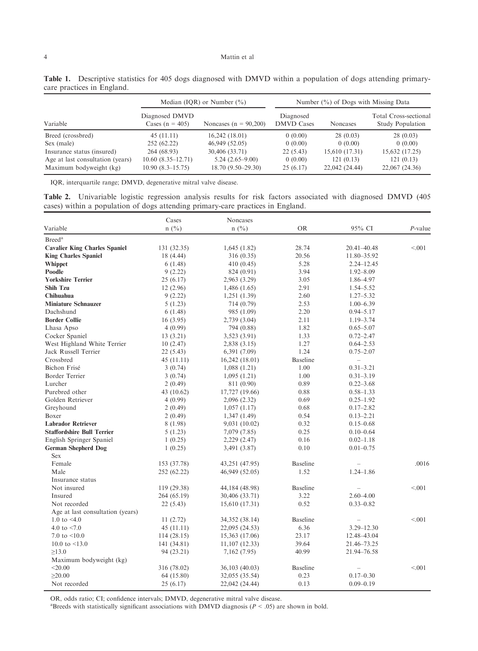|                                  | Median (IQR) or Number $(\% )$      |                           | Number $(\%)$ of Dogs with Missing Data |                |                                                  |  |
|----------------------------------|-------------------------------------|---------------------------|-----------------------------------------|----------------|--------------------------------------------------|--|
| Variable                         | Diagnosed DMVD<br>Cases $(n = 405)$ | Noncases ( $n = 90,200$ ) | Diagnosed<br><b>DMVD</b> Cases          | Noncases       | Total Cross-sectional<br><b>Study Population</b> |  |
| Breed (crossbred)                | 45 (11.11)                          | 16,242(18.01)             | 0(0.00)                                 | 28(0.03)       | 28(0.03)                                         |  |
| Sex (male)                       | 252 (62.22)                         | 46,949 (52.05)            | 0(0.00)                                 | 0(0.00)        | 0(0.00)                                          |  |
| Insurance status (insured)       | 264 (68.93)                         | 30,406 (33.71)            | 22(5.43)                                | 15,610 (17.31) | 15,632 (17.25)                                   |  |
| Age at last consultation (years) | $10.60(8.35-12.71)$                 | $5.24(2.65-9.00)$         | 0(0.00)                                 | 121(0.13)      | 121(0.13)                                        |  |
| Maximum bodyweight (kg)          | $10.90(8.3-15.75)$                  | $18.70(9.50-29.30)$       | 25(6.17)                                | 22,042 (24.44) | 22,067 (24.36)                                   |  |

Table 1. Descriptive statistics for 405 dogs diagnosed with DMVD within a population of dogs attending primarycare practices in England.

IQR, interquartile range; DMVD, degenerative mitral valve disease.

Table 2. Univariable logistic regression analysis results for risk factors associated with diagnosed DMVD (405 cases) within a population of dogs attending primary-care practices in England.

| $n(^{0}/_{0})$<br>$n(^{0}/_{0})$<br>95% CI<br><b>OR</b><br>$P$ -value<br>Breed <sup>a</sup><br><b>Cavalier King Charles Spaniel</b><br>28.74<br>< 0.01<br>131 (32.35)<br>1,645(1.82)<br>20.41-40.48<br>20.56<br><b>King Charles Spaniel</b><br>18 (4.44)<br>316 (0.35)<br>11.80-35.92<br>5.28<br>Whippet<br>6(1.48)<br>410 (0.45)<br>$2.24 - 12.45$<br>3.94<br>Poodle<br>9(2.22)<br>$1.92 - 8.09$<br>824 (0.91)<br><b>Yorkshire Terrier</b><br>3.05<br>1.86-4.97<br>25(6.17)<br>2,963 (3.29)<br><b>Shih Tzu</b><br>2.91<br>$1.54 - 5.52$<br>12(2.96)<br>1,486(1.65)<br>2.60<br>$1.27 - 5.32$<br>Chihuahua<br>9(2.22)<br>1,251 (1.39)<br><b>Miniature Schnauzer</b><br>2.53<br>$1.00 - 6.39$<br>5(1.23)<br>714 (0.79)<br>Dachshund<br>2.20<br>$0.94 - 5.17$<br>985 (1.09)<br>6(1.48)<br>2.11<br><b>Border Collie</b><br>$1.19 - 3.74$<br>16(3.95)<br>2,739 (3.04)<br>1.82<br>$0.65 - 5.07$<br>Lhasa Apso<br>4(0.99)<br>794 (0.88)<br>1.33<br>Cocker Spaniel<br>3,523 (3.91)<br>$0.72 - 2.47$<br>13(3.21)<br>West Highland White Terrier<br>1.27<br>10(2.47)<br>2,838 (3.15)<br>$0.64 - 2.53$<br>Jack Russell Terrier<br>1.24<br>$0.75 - 2.07$<br>22 (5.43)<br>6,391 (7.09)<br>Crossbred<br><b>Baseline</b><br>45(11.11)<br>16,242(18.01)<br>$\equiv$<br>1.00<br>Bichon Frisé<br>$0.31 - 3.21$<br>3(0.74)<br>1,088(1.21)<br>Border Terrier<br>1.00<br>$0.31 - 3.19$<br>3(0.74)<br>1,095(1.21)<br>Lurcher<br>0.89<br>2(0.49)<br>$0.22 - 3.68$<br>811 (0.90)<br>Purebred other<br>0.88<br>$0.58 - 1.33$<br>17,727 (19.66)<br>43 (10.62)<br>Golden Retriever<br>0.69<br>$0.25 - 1.92$<br>4(0.99)<br>2,096 (2.32)<br>Greyhound<br>0.68<br>$0.17 - 2.82$<br>2(0.49)<br>1,057(1.17)<br>Boxer<br>0.54<br>1,347(1.49)<br>$0.13 - 2.21$<br>2(0.49)<br><b>Labrador Retriever</b><br>8 (1.98)<br>0.32<br>$0.15 - 0.68$<br>9,031 (10.02)<br><b>Staffordshire Bull Terrier</b><br>0.25<br>5(1.23)<br>7,079 (7.85)<br>$0.10 - 0.64$<br>0.16<br>English Springer Spaniel<br>1(0.25)<br>2,229 (2.47)<br>$0.02 - 1.18$<br><b>German Shepherd Dog</b><br>0.10<br>1(0.25)<br>3,491 (3.87)<br>$0.01 - 0.75$<br><b>Sex</b><br>Female<br><b>Baseline</b><br>.0016<br>153 (37.78)<br>43,251 (47.95)<br>Male<br>1.52<br>$1.24 - 1.86$<br>252 (62.22)<br>46,949 (52.05)<br>Insurance status<br>Not insured<br><b>Baseline</b><br>< 0.01<br>119 (29.38)<br>44,184 (48.98)<br>Insured<br>3.22<br>$2.60 - 4.00$<br>264 (65.19)<br>30,406 (33.71)<br>0.52<br>Not recorded<br>15,610 (17.31)<br>$0.33 - 0.82$<br>22 (5.43)<br>Age at last consultation (years)<br><b>Baseline</b><br>1.0 to $\leq 4.0$<br>< 0.01<br>11(2.72)<br>34,352 (38.14)<br>4.0 to $< 7.0$<br>6.36<br>$3.29 - 12.30$<br>45 (11.11)<br>22,095 (24.53)<br>7.0 to $\leq 10.0$<br>23.17<br>12.48-43.04<br>114 (28.15)<br>15,363 (17.06)<br>10.0 to $\leq$ 13.0<br>$11,107$ (12.33)<br>39.64<br>21.46–73.25<br>141 (34.81)<br>40.99<br>$\geq 13.0$<br>21.94–76.58<br>94 (23.21)<br>7,162 (7.95)<br>Maximum bodyweight (kg)<br>$<$ 20.00<br>Baseline<br>316 (78.02)<br>< 0.01<br>36,103 (40.03)<br>$\geq 20.00$<br>0.23<br>64 (15.80)<br>$0.17 - 0.30$<br>32,055 (35.54)<br>Not recorded<br>0.13<br>25(6.17)<br>22,042 (24.44)<br>$0.09 - 0.19$ |          | Cases | <b>Noncases</b> |  |  |
|---------------------------------------------------------------------------------------------------------------------------------------------------------------------------------------------------------------------------------------------------------------------------------------------------------------------------------------------------------------------------------------------------------------------------------------------------------------------------------------------------------------------------------------------------------------------------------------------------------------------------------------------------------------------------------------------------------------------------------------------------------------------------------------------------------------------------------------------------------------------------------------------------------------------------------------------------------------------------------------------------------------------------------------------------------------------------------------------------------------------------------------------------------------------------------------------------------------------------------------------------------------------------------------------------------------------------------------------------------------------------------------------------------------------------------------------------------------------------------------------------------------------------------------------------------------------------------------------------------------------------------------------------------------------------------------------------------------------------------------------------------------------------------------------------------------------------------------------------------------------------------------------------------------------------------------------------------------------------------------------------------------------------------------------------------------------------------------------------------------------------------------------------------------------------------------------------------------------------------------------------------------------------------------------------------------------------------------------------------------------------------------------------------------------------------------------------------------------------------------------------------------------------------------------------------------------------------------------------------------------------------------------------------------------------------------------------------------------------------------------------------------------------------------------------------------------------------------------------------------------------------------------------------------------------------------------------------------------------------------------------------------------------------------------------------------------------------------------------------------------------------------------------------------------------------|----------|-------|-----------------|--|--|
|                                                                                                                                                                                                                                                                                                                                                                                                                                                                                                                                                                                                                                                                                                                                                                                                                                                                                                                                                                                                                                                                                                                                                                                                                                                                                                                                                                                                                                                                                                                                                                                                                                                                                                                                                                                                                                                                                                                                                                                                                                                                                                                                                                                                                                                                                                                                                                                                                                                                                                                                                                                                                                                                                                                                                                                                                                                                                                                                                                                                                                                                                                                                                                                 | Variable |       |                 |  |  |
|                                                                                                                                                                                                                                                                                                                                                                                                                                                                                                                                                                                                                                                                                                                                                                                                                                                                                                                                                                                                                                                                                                                                                                                                                                                                                                                                                                                                                                                                                                                                                                                                                                                                                                                                                                                                                                                                                                                                                                                                                                                                                                                                                                                                                                                                                                                                                                                                                                                                                                                                                                                                                                                                                                                                                                                                                                                                                                                                                                                                                                                                                                                                                                                 |          |       |                 |  |  |
|                                                                                                                                                                                                                                                                                                                                                                                                                                                                                                                                                                                                                                                                                                                                                                                                                                                                                                                                                                                                                                                                                                                                                                                                                                                                                                                                                                                                                                                                                                                                                                                                                                                                                                                                                                                                                                                                                                                                                                                                                                                                                                                                                                                                                                                                                                                                                                                                                                                                                                                                                                                                                                                                                                                                                                                                                                                                                                                                                                                                                                                                                                                                                                                 |          |       |                 |  |  |
|                                                                                                                                                                                                                                                                                                                                                                                                                                                                                                                                                                                                                                                                                                                                                                                                                                                                                                                                                                                                                                                                                                                                                                                                                                                                                                                                                                                                                                                                                                                                                                                                                                                                                                                                                                                                                                                                                                                                                                                                                                                                                                                                                                                                                                                                                                                                                                                                                                                                                                                                                                                                                                                                                                                                                                                                                                                                                                                                                                                                                                                                                                                                                                                 |          |       |                 |  |  |
|                                                                                                                                                                                                                                                                                                                                                                                                                                                                                                                                                                                                                                                                                                                                                                                                                                                                                                                                                                                                                                                                                                                                                                                                                                                                                                                                                                                                                                                                                                                                                                                                                                                                                                                                                                                                                                                                                                                                                                                                                                                                                                                                                                                                                                                                                                                                                                                                                                                                                                                                                                                                                                                                                                                                                                                                                                                                                                                                                                                                                                                                                                                                                                                 |          |       |                 |  |  |
|                                                                                                                                                                                                                                                                                                                                                                                                                                                                                                                                                                                                                                                                                                                                                                                                                                                                                                                                                                                                                                                                                                                                                                                                                                                                                                                                                                                                                                                                                                                                                                                                                                                                                                                                                                                                                                                                                                                                                                                                                                                                                                                                                                                                                                                                                                                                                                                                                                                                                                                                                                                                                                                                                                                                                                                                                                                                                                                                                                                                                                                                                                                                                                                 |          |       |                 |  |  |
|                                                                                                                                                                                                                                                                                                                                                                                                                                                                                                                                                                                                                                                                                                                                                                                                                                                                                                                                                                                                                                                                                                                                                                                                                                                                                                                                                                                                                                                                                                                                                                                                                                                                                                                                                                                                                                                                                                                                                                                                                                                                                                                                                                                                                                                                                                                                                                                                                                                                                                                                                                                                                                                                                                                                                                                                                                                                                                                                                                                                                                                                                                                                                                                 |          |       |                 |  |  |
|                                                                                                                                                                                                                                                                                                                                                                                                                                                                                                                                                                                                                                                                                                                                                                                                                                                                                                                                                                                                                                                                                                                                                                                                                                                                                                                                                                                                                                                                                                                                                                                                                                                                                                                                                                                                                                                                                                                                                                                                                                                                                                                                                                                                                                                                                                                                                                                                                                                                                                                                                                                                                                                                                                                                                                                                                                                                                                                                                                                                                                                                                                                                                                                 |          |       |                 |  |  |
|                                                                                                                                                                                                                                                                                                                                                                                                                                                                                                                                                                                                                                                                                                                                                                                                                                                                                                                                                                                                                                                                                                                                                                                                                                                                                                                                                                                                                                                                                                                                                                                                                                                                                                                                                                                                                                                                                                                                                                                                                                                                                                                                                                                                                                                                                                                                                                                                                                                                                                                                                                                                                                                                                                                                                                                                                                                                                                                                                                                                                                                                                                                                                                                 |          |       |                 |  |  |
|                                                                                                                                                                                                                                                                                                                                                                                                                                                                                                                                                                                                                                                                                                                                                                                                                                                                                                                                                                                                                                                                                                                                                                                                                                                                                                                                                                                                                                                                                                                                                                                                                                                                                                                                                                                                                                                                                                                                                                                                                                                                                                                                                                                                                                                                                                                                                                                                                                                                                                                                                                                                                                                                                                                                                                                                                                                                                                                                                                                                                                                                                                                                                                                 |          |       |                 |  |  |
|                                                                                                                                                                                                                                                                                                                                                                                                                                                                                                                                                                                                                                                                                                                                                                                                                                                                                                                                                                                                                                                                                                                                                                                                                                                                                                                                                                                                                                                                                                                                                                                                                                                                                                                                                                                                                                                                                                                                                                                                                                                                                                                                                                                                                                                                                                                                                                                                                                                                                                                                                                                                                                                                                                                                                                                                                                                                                                                                                                                                                                                                                                                                                                                 |          |       |                 |  |  |
|                                                                                                                                                                                                                                                                                                                                                                                                                                                                                                                                                                                                                                                                                                                                                                                                                                                                                                                                                                                                                                                                                                                                                                                                                                                                                                                                                                                                                                                                                                                                                                                                                                                                                                                                                                                                                                                                                                                                                                                                                                                                                                                                                                                                                                                                                                                                                                                                                                                                                                                                                                                                                                                                                                                                                                                                                                                                                                                                                                                                                                                                                                                                                                                 |          |       |                 |  |  |
|                                                                                                                                                                                                                                                                                                                                                                                                                                                                                                                                                                                                                                                                                                                                                                                                                                                                                                                                                                                                                                                                                                                                                                                                                                                                                                                                                                                                                                                                                                                                                                                                                                                                                                                                                                                                                                                                                                                                                                                                                                                                                                                                                                                                                                                                                                                                                                                                                                                                                                                                                                                                                                                                                                                                                                                                                                                                                                                                                                                                                                                                                                                                                                                 |          |       |                 |  |  |
|                                                                                                                                                                                                                                                                                                                                                                                                                                                                                                                                                                                                                                                                                                                                                                                                                                                                                                                                                                                                                                                                                                                                                                                                                                                                                                                                                                                                                                                                                                                                                                                                                                                                                                                                                                                                                                                                                                                                                                                                                                                                                                                                                                                                                                                                                                                                                                                                                                                                                                                                                                                                                                                                                                                                                                                                                                                                                                                                                                                                                                                                                                                                                                                 |          |       |                 |  |  |
|                                                                                                                                                                                                                                                                                                                                                                                                                                                                                                                                                                                                                                                                                                                                                                                                                                                                                                                                                                                                                                                                                                                                                                                                                                                                                                                                                                                                                                                                                                                                                                                                                                                                                                                                                                                                                                                                                                                                                                                                                                                                                                                                                                                                                                                                                                                                                                                                                                                                                                                                                                                                                                                                                                                                                                                                                                                                                                                                                                                                                                                                                                                                                                                 |          |       |                 |  |  |
|                                                                                                                                                                                                                                                                                                                                                                                                                                                                                                                                                                                                                                                                                                                                                                                                                                                                                                                                                                                                                                                                                                                                                                                                                                                                                                                                                                                                                                                                                                                                                                                                                                                                                                                                                                                                                                                                                                                                                                                                                                                                                                                                                                                                                                                                                                                                                                                                                                                                                                                                                                                                                                                                                                                                                                                                                                                                                                                                                                                                                                                                                                                                                                                 |          |       |                 |  |  |
|                                                                                                                                                                                                                                                                                                                                                                                                                                                                                                                                                                                                                                                                                                                                                                                                                                                                                                                                                                                                                                                                                                                                                                                                                                                                                                                                                                                                                                                                                                                                                                                                                                                                                                                                                                                                                                                                                                                                                                                                                                                                                                                                                                                                                                                                                                                                                                                                                                                                                                                                                                                                                                                                                                                                                                                                                                                                                                                                                                                                                                                                                                                                                                                 |          |       |                 |  |  |
|                                                                                                                                                                                                                                                                                                                                                                                                                                                                                                                                                                                                                                                                                                                                                                                                                                                                                                                                                                                                                                                                                                                                                                                                                                                                                                                                                                                                                                                                                                                                                                                                                                                                                                                                                                                                                                                                                                                                                                                                                                                                                                                                                                                                                                                                                                                                                                                                                                                                                                                                                                                                                                                                                                                                                                                                                                                                                                                                                                                                                                                                                                                                                                                 |          |       |                 |  |  |
|                                                                                                                                                                                                                                                                                                                                                                                                                                                                                                                                                                                                                                                                                                                                                                                                                                                                                                                                                                                                                                                                                                                                                                                                                                                                                                                                                                                                                                                                                                                                                                                                                                                                                                                                                                                                                                                                                                                                                                                                                                                                                                                                                                                                                                                                                                                                                                                                                                                                                                                                                                                                                                                                                                                                                                                                                                                                                                                                                                                                                                                                                                                                                                                 |          |       |                 |  |  |
|                                                                                                                                                                                                                                                                                                                                                                                                                                                                                                                                                                                                                                                                                                                                                                                                                                                                                                                                                                                                                                                                                                                                                                                                                                                                                                                                                                                                                                                                                                                                                                                                                                                                                                                                                                                                                                                                                                                                                                                                                                                                                                                                                                                                                                                                                                                                                                                                                                                                                                                                                                                                                                                                                                                                                                                                                                                                                                                                                                                                                                                                                                                                                                                 |          |       |                 |  |  |
|                                                                                                                                                                                                                                                                                                                                                                                                                                                                                                                                                                                                                                                                                                                                                                                                                                                                                                                                                                                                                                                                                                                                                                                                                                                                                                                                                                                                                                                                                                                                                                                                                                                                                                                                                                                                                                                                                                                                                                                                                                                                                                                                                                                                                                                                                                                                                                                                                                                                                                                                                                                                                                                                                                                                                                                                                                                                                                                                                                                                                                                                                                                                                                                 |          |       |                 |  |  |
|                                                                                                                                                                                                                                                                                                                                                                                                                                                                                                                                                                                                                                                                                                                                                                                                                                                                                                                                                                                                                                                                                                                                                                                                                                                                                                                                                                                                                                                                                                                                                                                                                                                                                                                                                                                                                                                                                                                                                                                                                                                                                                                                                                                                                                                                                                                                                                                                                                                                                                                                                                                                                                                                                                                                                                                                                                                                                                                                                                                                                                                                                                                                                                                 |          |       |                 |  |  |
|                                                                                                                                                                                                                                                                                                                                                                                                                                                                                                                                                                                                                                                                                                                                                                                                                                                                                                                                                                                                                                                                                                                                                                                                                                                                                                                                                                                                                                                                                                                                                                                                                                                                                                                                                                                                                                                                                                                                                                                                                                                                                                                                                                                                                                                                                                                                                                                                                                                                                                                                                                                                                                                                                                                                                                                                                                                                                                                                                                                                                                                                                                                                                                                 |          |       |                 |  |  |
|                                                                                                                                                                                                                                                                                                                                                                                                                                                                                                                                                                                                                                                                                                                                                                                                                                                                                                                                                                                                                                                                                                                                                                                                                                                                                                                                                                                                                                                                                                                                                                                                                                                                                                                                                                                                                                                                                                                                                                                                                                                                                                                                                                                                                                                                                                                                                                                                                                                                                                                                                                                                                                                                                                                                                                                                                                                                                                                                                                                                                                                                                                                                                                                 |          |       |                 |  |  |
|                                                                                                                                                                                                                                                                                                                                                                                                                                                                                                                                                                                                                                                                                                                                                                                                                                                                                                                                                                                                                                                                                                                                                                                                                                                                                                                                                                                                                                                                                                                                                                                                                                                                                                                                                                                                                                                                                                                                                                                                                                                                                                                                                                                                                                                                                                                                                                                                                                                                                                                                                                                                                                                                                                                                                                                                                                                                                                                                                                                                                                                                                                                                                                                 |          |       |                 |  |  |
|                                                                                                                                                                                                                                                                                                                                                                                                                                                                                                                                                                                                                                                                                                                                                                                                                                                                                                                                                                                                                                                                                                                                                                                                                                                                                                                                                                                                                                                                                                                                                                                                                                                                                                                                                                                                                                                                                                                                                                                                                                                                                                                                                                                                                                                                                                                                                                                                                                                                                                                                                                                                                                                                                                                                                                                                                                                                                                                                                                                                                                                                                                                                                                                 |          |       |                 |  |  |
|                                                                                                                                                                                                                                                                                                                                                                                                                                                                                                                                                                                                                                                                                                                                                                                                                                                                                                                                                                                                                                                                                                                                                                                                                                                                                                                                                                                                                                                                                                                                                                                                                                                                                                                                                                                                                                                                                                                                                                                                                                                                                                                                                                                                                                                                                                                                                                                                                                                                                                                                                                                                                                                                                                                                                                                                                                                                                                                                                                                                                                                                                                                                                                                 |          |       |                 |  |  |
|                                                                                                                                                                                                                                                                                                                                                                                                                                                                                                                                                                                                                                                                                                                                                                                                                                                                                                                                                                                                                                                                                                                                                                                                                                                                                                                                                                                                                                                                                                                                                                                                                                                                                                                                                                                                                                                                                                                                                                                                                                                                                                                                                                                                                                                                                                                                                                                                                                                                                                                                                                                                                                                                                                                                                                                                                                                                                                                                                                                                                                                                                                                                                                                 |          |       |                 |  |  |
|                                                                                                                                                                                                                                                                                                                                                                                                                                                                                                                                                                                                                                                                                                                                                                                                                                                                                                                                                                                                                                                                                                                                                                                                                                                                                                                                                                                                                                                                                                                                                                                                                                                                                                                                                                                                                                                                                                                                                                                                                                                                                                                                                                                                                                                                                                                                                                                                                                                                                                                                                                                                                                                                                                                                                                                                                                                                                                                                                                                                                                                                                                                                                                                 |          |       |                 |  |  |
|                                                                                                                                                                                                                                                                                                                                                                                                                                                                                                                                                                                                                                                                                                                                                                                                                                                                                                                                                                                                                                                                                                                                                                                                                                                                                                                                                                                                                                                                                                                                                                                                                                                                                                                                                                                                                                                                                                                                                                                                                                                                                                                                                                                                                                                                                                                                                                                                                                                                                                                                                                                                                                                                                                                                                                                                                                                                                                                                                                                                                                                                                                                                                                                 |          |       |                 |  |  |
|                                                                                                                                                                                                                                                                                                                                                                                                                                                                                                                                                                                                                                                                                                                                                                                                                                                                                                                                                                                                                                                                                                                                                                                                                                                                                                                                                                                                                                                                                                                                                                                                                                                                                                                                                                                                                                                                                                                                                                                                                                                                                                                                                                                                                                                                                                                                                                                                                                                                                                                                                                                                                                                                                                                                                                                                                                                                                                                                                                                                                                                                                                                                                                                 |          |       |                 |  |  |
|                                                                                                                                                                                                                                                                                                                                                                                                                                                                                                                                                                                                                                                                                                                                                                                                                                                                                                                                                                                                                                                                                                                                                                                                                                                                                                                                                                                                                                                                                                                                                                                                                                                                                                                                                                                                                                                                                                                                                                                                                                                                                                                                                                                                                                                                                                                                                                                                                                                                                                                                                                                                                                                                                                                                                                                                                                                                                                                                                                                                                                                                                                                                                                                 |          |       |                 |  |  |
|                                                                                                                                                                                                                                                                                                                                                                                                                                                                                                                                                                                                                                                                                                                                                                                                                                                                                                                                                                                                                                                                                                                                                                                                                                                                                                                                                                                                                                                                                                                                                                                                                                                                                                                                                                                                                                                                                                                                                                                                                                                                                                                                                                                                                                                                                                                                                                                                                                                                                                                                                                                                                                                                                                                                                                                                                                                                                                                                                                                                                                                                                                                                                                                 |          |       |                 |  |  |
|                                                                                                                                                                                                                                                                                                                                                                                                                                                                                                                                                                                                                                                                                                                                                                                                                                                                                                                                                                                                                                                                                                                                                                                                                                                                                                                                                                                                                                                                                                                                                                                                                                                                                                                                                                                                                                                                                                                                                                                                                                                                                                                                                                                                                                                                                                                                                                                                                                                                                                                                                                                                                                                                                                                                                                                                                                                                                                                                                                                                                                                                                                                                                                                 |          |       |                 |  |  |
|                                                                                                                                                                                                                                                                                                                                                                                                                                                                                                                                                                                                                                                                                                                                                                                                                                                                                                                                                                                                                                                                                                                                                                                                                                                                                                                                                                                                                                                                                                                                                                                                                                                                                                                                                                                                                                                                                                                                                                                                                                                                                                                                                                                                                                                                                                                                                                                                                                                                                                                                                                                                                                                                                                                                                                                                                                                                                                                                                                                                                                                                                                                                                                                 |          |       |                 |  |  |
|                                                                                                                                                                                                                                                                                                                                                                                                                                                                                                                                                                                                                                                                                                                                                                                                                                                                                                                                                                                                                                                                                                                                                                                                                                                                                                                                                                                                                                                                                                                                                                                                                                                                                                                                                                                                                                                                                                                                                                                                                                                                                                                                                                                                                                                                                                                                                                                                                                                                                                                                                                                                                                                                                                                                                                                                                                                                                                                                                                                                                                                                                                                                                                                 |          |       |                 |  |  |
|                                                                                                                                                                                                                                                                                                                                                                                                                                                                                                                                                                                                                                                                                                                                                                                                                                                                                                                                                                                                                                                                                                                                                                                                                                                                                                                                                                                                                                                                                                                                                                                                                                                                                                                                                                                                                                                                                                                                                                                                                                                                                                                                                                                                                                                                                                                                                                                                                                                                                                                                                                                                                                                                                                                                                                                                                                                                                                                                                                                                                                                                                                                                                                                 |          |       |                 |  |  |
|                                                                                                                                                                                                                                                                                                                                                                                                                                                                                                                                                                                                                                                                                                                                                                                                                                                                                                                                                                                                                                                                                                                                                                                                                                                                                                                                                                                                                                                                                                                                                                                                                                                                                                                                                                                                                                                                                                                                                                                                                                                                                                                                                                                                                                                                                                                                                                                                                                                                                                                                                                                                                                                                                                                                                                                                                                                                                                                                                                                                                                                                                                                                                                                 |          |       |                 |  |  |
|                                                                                                                                                                                                                                                                                                                                                                                                                                                                                                                                                                                                                                                                                                                                                                                                                                                                                                                                                                                                                                                                                                                                                                                                                                                                                                                                                                                                                                                                                                                                                                                                                                                                                                                                                                                                                                                                                                                                                                                                                                                                                                                                                                                                                                                                                                                                                                                                                                                                                                                                                                                                                                                                                                                                                                                                                                                                                                                                                                                                                                                                                                                                                                                 |          |       |                 |  |  |
|                                                                                                                                                                                                                                                                                                                                                                                                                                                                                                                                                                                                                                                                                                                                                                                                                                                                                                                                                                                                                                                                                                                                                                                                                                                                                                                                                                                                                                                                                                                                                                                                                                                                                                                                                                                                                                                                                                                                                                                                                                                                                                                                                                                                                                                                                                                                                                                                                                                                                                                                                                                                                                                                                                                                                                                                                                                                                                                                                                                                                                                                                                                                                                                 |          |       |                 |  |  |
|                                                                                                                                                                                                                                                                                                                                                                                                                                                                                                                                                                                                                                                                                                                                                                                                                                                                                                                                                                                                                                                                                                                                                                                                                                                                                                                                                                                                                                                                                                                                                                                                                                                                                                                                                                                                                                                                                                                                                                                                                                                                                                                                                                                                                                                                                                                                                                                                                                                                                                                                                                                                                                                                                                                                                                                                                                                                                                                                                                                                                                                                                                                                                                                 |          |       |                 |  |  |
|                                                                                                                                                                                                                                                                                                                                                                                                                                                                                                                                                                                                                                                                                                                                                                                                                                                                                                                                                                                                                                                                                                                                                                                                                                                                                                                                                                                                                                                                                                                                                                                                                                                                                                                                                                                                                                                                                                                                                                                                                                                                                                                                                                                                                                                                                                                                                                                                                                                                                                                                                                                                                                                                                                                                                                                                                                                                                                                                                                                                                                                                                                                                                                                 |          |       |                 |  |  |
|                                                                                                                                                                                                                                                                                                                                                                                                                                                                                                                                                                                                                                                                                                                                                                                                                                                                                                                                                                                                                                                                                                                                                                                                                                                                                                                                                                                                                                                                                                                                                                                                                                                                                                                                                                                                                                                                                                                                                                                                                                                                                                                                                                                                                                                                                                                                                                                                                                                                                                                                                                                                                                                                                                                                                                                                                                                                                                                                                                                                                                                                                                                                                                                 |          |       |                 |  |  |
|                                                                                                                                                                                                                                                                                                                                                                                                                                                                                                                                                                                                                                                                                                                                                                                                                                                                                                                                                                                                                                                                                                                                                                                                                                                                                                                                                                                                                                                                                                                                                                                                                                                                                                                                                                                                                                                                                                                                                                                                                                                                                                                                                                                                                                                                                                                                                                                                                                                                                                                                                                                                                                                                                                                                                                                                                                                                                                                                                                                                                                                                                                                                                                                 |          |       |                 |  |  |
|                                                                                                                                                                                                                                                                                                                                                                                                                                                                                                                                                                                                                                                                                                                                                                                                                                                                                                                                                                                                                                                                                                                                                                                                                                                                                                                                                                                                                                                                                                                                                                                                                                                                                                                                                                                                                                                                                                                                                                                                                                                                                                                                                                                                                                                                                                                                                                                                                                                                                                                                                                                                                                                                                                                                                                                                                                                                                                                                                                                                                                                                                                                                                                                 |          |       |                 |  |  |

OR, odds ratio; CI; confidence intervals; DMVD, degenerative mitral valve disease.

<sup>a</sup>Breeds with statistically significant associations with DMVD diagnosis ( $P < .05$ ) are shown in bold.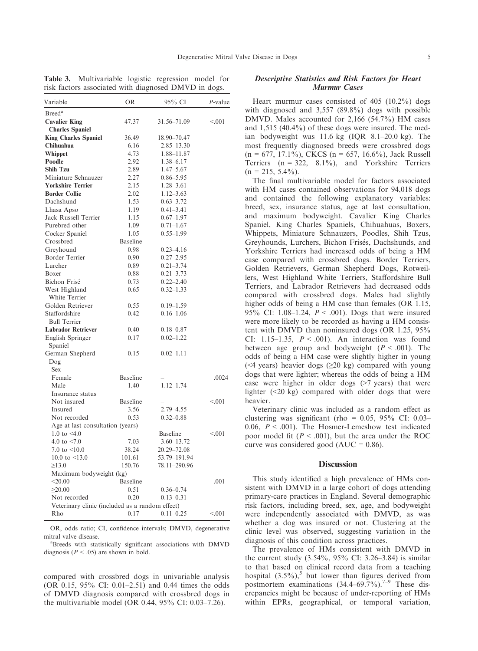| Breed <sup>a</sup><br><b>Cavalier King</b><br>47.37<br>31.56–71.09<br>< 001<br><b>Charles Spaniel</b><br><b>King Charles Spaniel</b><br>36.49<br>18.90–70.47<br>Chihuahua<br>6.16<br>2.85–13.30<br>Whippet<br>4.73<br>1.88–11.87<br>Poodle<br>2.92<br>1.38–6.17<br><b>Shih Tzu</b><br>2.89<br>$1.47 - 5.67$<br>Miniature Schnauzer<br>2.27<br>$0.86 - 5.95$<br><b>Yorkshire Terrier</b><br>2.15<br>$1.28 - 3.61$<br><b>Border Collie</b><br>$1.12 - 3.63$<br>2.02<br>Dachshund<br>1.53<br>$0.63 - 3.72$<br>Lhasa Apso<br>1.19<br>$0.41 - 3.41$<br>Jack Russell Terrier<br>1.15<br>$0.67 - 1.97$<br>Purebred other<br>1.09<br>$0.71 - 1.67$<br>Cocker Spaniel<br>1.05<br>$0.55 - 1.99$<br><b>Baseline</b><br>Crossbred<br>Greyhound<br>0.98<br>$0.23 - 4.16$<br>Border Terrier<br>0.90<br>$0.27 - 2.95$<br>Lurcher<br>0.89<br>$0.21 - 3.74$<br>$0.21 - 3.73$<br>Boxer<br>0.88<br>Bichon Frisé<br>0.73<br>$0.22 - 2.40$<br>West Highland<br>$0.32 - 1.33$<br>0.65<br>White Terrier<br>Golden Retriever<br>0.55<br>$0.19 - 1.59$<br>Staffordshire<br>0.42<br>$0.16 - 1.06$<br><b>Bull Terrier</b><br><b>Labrador Retriever</b><br>0.40<br>$0.18 - 0.87$<br>English Springer<br>0.17<br>$0.02 - 1.22$<br>Spaniel<br>German Shepherd<br>0.15<br>$0.02 - 1.11$<br>Dog<br><b>Sex</b><br>Female<br><b>Baseline</b><br>.0024<br>1.40<br>$1.12 - 1.74$<br>Male<br>Insurance status<br>Not insured<br>Baseline<br>< 0.01<br>3.56<br>2.79 - 4.55<br>Insured<br>Not recorded<br>0.53<br>$0.32 - 0.88$<br>Age at last consultation (years)<br>1.0 to $\leq 4.0$<br>Baseline<br>< 001<br>4.0 to $< 7.0$<br>$3.60 - 13.72$<br>7.03<br>7.0 to $\leq 10.0$<br>38.24<br>20.29–72.08<br>10.0 to $\leq$ 13.0<br>101.61<br>53.79-191.94<br>>13.0<br>150.76<br>78.11-290.96<br>Maximum bodyweight (kg)<br>$<$ 20.00<br>Baseline<br>.001<br>0.51<br>$\geq 20.00$<br>$0.36 - 0.74$<br>Not recorded<br>0.20<br>$0.13 - 0.31$<br>Veterinary clinic (included as a random effect)<br>Rho<br>0.17<br>$0.11 - 0.25$<br>< 0.01 | Variable | OR | 95% CI | $P$ -value |  |  |
|-------------------------------------------------------------------------------------------------------------------------------------------------------------------------------------------------------------------------------------------------------------------------------------------------------------------------------------------------------------------------------------------------------------------------------------------------------------------------------------------------------------------------------------------------------------------------------------------------------------------------------------------------------------------------------------------------------------------------------------------------------------------------------------------------------------------------------------------------------------------------------------------------------------------------------------------------------------------------------------------------------------------------------------------------------------------------------------------------------------------------------------------------------------------------------------------------------------------------------------------------------------------------------------------------------------------------------------------------------------------------------------------------------------------------------------------------------------------------------------------------------------------------------------------------------------------------------------------------------------------------------------------------------------------------------------------------------------------------------------------------------------------------------------------------------------------------------------------------------------------------------------------------------------------------------------------------------------------------------------------------|----------|----|--------|------------|--|--|
|                                                                                                                                                                                                                                                                                                                                                                                                                                                                                                                                                                                                                                                                                                                                                                                                                                                                                                                                                                                                                                                                                                                                                                                                                                                                                                                                                                                                                                                                                                                                                                                                                                                                                                                                                                                                                                                                                                                                                                                                 |          |    |        |            |  |  |
|                                                                                                                                                                                                                                                                                                                                                                                                                                                                                                                                                                                                                                                                                                                                                                                                                                                                                                                                                                                                                                                                                                                                                                                                                                                                                                                                                                                                                                                                                                                                                                                                                                                                                                                                                                                                                                                                                                                                                                                                 |          |    |        |            |  |  |
|                                                                                                                                                                                                                                                                                                                                                                                                                                                                                                                                                                                                                                                                                                                                                                                                                                                                                                                                                                                                                                                                                                                                                                                                                                                                                                                                                                                                                                                                                                                                                                                                                                                                                                                                                                                                                                                                                                                                                                                                 |          |    |        |            |  |  |
|                                                                                                                                                                                                                                                                                                                                                                                                                                                                                                                                                                                                                                                                                                                                                                                                                                                                                                                                                                                                                                                                                                                                                                                                                                                                                                                                                                                                                                                                                                                                                                                                                                                                                                                                                                                                                                                                                                                                                                                                 |          |    |        |            |  |  |
|                                                                                                                                                                                                                                                                                                                                                                                                                                                                                                                                                                                                                                                                                                                                                                                                                                                                                                                                                                                                                                                                                                                                                                                                                                                                                                                                                                                                                                                                                                                                                                                                                                                                                                                                                                                                                                                                                                                                                                                                 |          |    |        |            |  |  |
|                                                                                                                                                                                                                                                                                                                                                                                                                                                                                                                                                                                                                                                                                                                                                                                                                                                                                                                                                                                                                                                                                                                                                                                                                                                                                                                                                                                                                                                                                                                                                                                                                                                                                                                                                                                                                                                                                                                                                                                                 |          |    |        |            |  |  |
|                                                                                                                                                                                                                                                                                                                                                                                                                                                                                                                                                                                                                                                                                                                                                                                                                                                                                                                                                                                                                                                                                                                                                                                                                                                                                                                                                                                                                                                                                                                                                                                                                                                                                                                                                                                                                                                                                                                                                                                                 |          |    |        |            |  |  |
|                                                                                                                                                                                                                                                                                                                                                                                                                                                                                                                                                                                                                                                                                                                                                                                                                                                                                                                                                                                                                                                                                                                                                                                                                                                                                                                                                                                                                                                                                                                                                                                                                                                                                                                                                                                                                                                                                                                                                                                                 |          |    |        |            |  |  |
|                                                                                                                                                                                                                                                                                                                                                                                                                                                                                                                                                                                                                                                                                                                                                                                                                                                                                                                                                                                                                                                                                                                                                                                                                                                                                                                                                                                                                                                                                                                                                                                                                                                                                                                                                                                                                                                                                                                                                                                                 |          |    |        |            |  |  |
|                                                                                                                                                                                                                                                                                                                                                                                                                                                                                                                                                                                                                                                                                                                                                                                                                                                                                                                                                                                                                                                                                                                                                                                                                                                                                                                                                                                                                                                                                                                                                                                                                                                                                                                                                                                                                                                                                                                                                                                                 |          |    |        |            |  |  |
|                                                                                                                                                                                                                                                                                                                                                                                                                                                                                                                                                                                                                                                                                                                                                                                                                                                                                                                                                                                                                                                                                                                                                                                                                                                                                                                                                                                                                                                                                                                                                                                                                                                                                                                                                                                                                                                                                                                                                                                                 |          |    |        |            |  |  |
|                                                                                                                                                                                                                                                                                                                                                                                                                                                                                                                                                                                                                                                                                                                                                                                                                                                                                                                                                                                                                                                                                                                                                                                                                                                                                                                                                                                                                                                                                                                                                                                                                                                                                                                                                                                                                                                                                                                                                                                                 |          |    |        |            |  |  |
|                                                                                                                                                                                                                                                                                                                                                                                                                                                                                                                                                                                                                                                                                                                                                                                                                                                                                                                                                                                                                                                                                                                                                                                                                                                                                                                                                                                                                                                                                                                                                                                                                                                                                                                                                                                                                                                                                                                                                                                                 |          |    |        |            |  |  |
|                                                                                                                                                                                                                                                                                                                                                                                                                                                                                                                                                                                                                                                                                                                                                                                                                                                                                                                                                                                                                                                                                                                                                                                                                                                                                                                                                                                                                                                                                                                                                                                                                                                                                                                                                                                                                                                                                                                                                                                                 |          |    |        |            |  |  |
|                                                                                                                                                                                                                                                                                                                                                                                                                                                                                                                                                                                                                                                                                                                                                                                                                                                                                                                                                                                                                                                                                                                                                                                                                                                                                                                                                                                                                                                                                                                                                                                                                                                                                                                                                                                                                                                                                                                                                                                                 |          |    |        |            |  |  |
|                                                                                                                                                                                                                                                                                                                                                                                                                                                                                                                                                                                                                                                                                                                                                                                                                                                                                                                                                                                                                                                                                                                                                                                                                                                                                                                                                                                                                                                                                                                                                                                                                                                                                                                                                                                                                                                                                                                                                                                                 |          |    |        |            |  |  |
|                                                                                                                                                                                                                                                                                                                                                                                                                                                                                                                                                                                                                                                                                                                                                                                                                                                                                                                                                                                                                                                                                                                                                                                                                                                                                                                                                                                                                                                                                                                                                                                                                                                                                                                                                                                                                                                                                                                                                                                                 |          |    |        |            |  |  |
|                                                                                                                                                                                                                                                                                                                                                                                                                                                                                                                                                                                                                                                                                                                                                                                                                                                                                                                                                                                                                                                                                                                                                                                                                                                                                                                                                                                                                                                                                                                                                                                                                                                                                                                                                                                                                                                                                                                                                                                                 |          |    |        |            |  |  |
|                                                                                                                                                                                                                                                                                                                                                                                                                                                                                                                                                                                                                                                                                                                                                                                                                                                                                                                                                                                                                                                                                                                                                                                                                                                                                                                                                                                                                                                                                                                                                                                                                                                                                                                                                                                                                                                                                                                                                                                                 |          |    |        |            |  |  |
|                                                                                                                                                                                                                                                                                                                                                                                                                                                                                                                                                                                                                                                                                                                                                                                                                                                                                                                                                                                                                                                                                                                                                                                                                                                                                                                                                                                                                                                                                                                                                                                                                                                                                                                                                                                                                                                                                                                                                                                                 |          |    |        |            |  |  |
|                                                                                                                                                                                                                                                                                                                                                                                                                                                                                                                                                                                                                                                                                                                                                                                                                                                                                                                                                                                                                                                                                                                                                                                                                                                                                                                                                                                                                                                                                                                                                                                                                                                                                                                                                                                                                                                                                                                                                                                                 |          |    |        |            |  |  |
|                                                                                                                                                                                                                                                                                                                                                                                                                                                                                                                                                                                                                                                                                                                                                                                                                                                                                                                                                                                                                                                                                                                                                                                                                                                                                                                                                                                                                                                                                                                                                                                                                                                                                                                                                                                                                                                                                                                                                                                                 |          |    |        |            |  |  |
|                                                                                                                                                                                                                                                                                                                                                                                                                                                                                                                                                                                                                                                                                                                                                                                                                                                                                                                                                                                                                                                                                                                                                                                                                                                                                                                                                                                                                                                                                                                                                                                                                                                                                                                                                                                                                                                                                                                                                                                                 |          |    |        |            |  |  |
|                                                                                                                                                                                                                                                                                                                                                                                                                                                                                                                                                                                                                                                                                                                                                                                                                                                                                                                                                                                                                                                                                                                                                                                                                                                                                                                                                                                                                                                                                                                                                                                                                                                                                                                                                                                                                                                                                                                                                                                                 |          |    |        |            |  |  |
|                                                                                                                                                                                                                                                                                                                                                                                                                                                                                                                                                                                                                                                                                                                                                                                                                                                                                                                                                                                                                                                                                                                                                                                                                                                                                                                                                                                                                                                                                                                                                                                                                                                                                                                                                                                                                                                                                                                                                                                                 |          |    |        |            |  |  |
|                                                                                                                                                                                                                                                                                                                                                                                                                                                                                                                                                                                                                                                                                                                                                                                                                                                                                                                                                                                                                                                                                                                                                                                                                                                                                                                                                                                                                                                                                                                                                                                                                                                                                                                                                                                                                                                                                                                                                                                                 |          |    |        |            |  |  |
|                                                                                                                                                                                                                                                                                                                                                                                                                                                                                                                                                                                                                                                                                                                                                                                                                                                                                                                                                                                                                                                                                                                                                                                                                                                                                                                                                                                                                                                                                                                                                                                                                                                                                                                                                                                                                                                                                                                                                                                                 |          |    |        |            |  |  |
|                                                                                                                                                                                                                                                                                                                                                                                                                                                                                                                                                                                                                                                                                                                                                                                                                                                                                                                                                                                                                                                                                                                                                                                                                                                                                                                                                                                                                                                                                                                                                                                                                                                                                                                                                                                                                                                                                                                                                                                                 |          |    |        |            |  |  |
|                                                                                                                                                                                                                                                                                                                                                                                                                                                                                                                                                                                                                                                                                                                                                                                                                                                                                                                                                                                                                                                                                                                                                                                                                                                                                                                                                                                                                                                                                                                                                                                                                                                                                                                                                                                                                                                                                                                                                                                                 |          |    |        |            |  |  |
|                                                                                                                                                                                                                                                                                                                                                                                                                                                                                                                                                                                                                                                                                                                                                                                                                                                                                                                                                                                                                                                                                                                                                                                                                                                                                                                                                                                                                                                                                                                                                                                                                                                                                                                                                                                                                                                                                                                                                                                                 |          |    |        |            |  |  |
|                                                                                                                                                                                                                                                                                                                                                                                                                                                                                                                                                                                                                                                                                                                                                                                                                                                                                                                                                                                                                                                                                                                                                                                                                                                                                                                                                                                                                                                                                                                                                                                                                                                                                                                                                                                                                                                                                                                                                                                                 |          |    |        |            |  |  |
|                                                                                                                                                                                                                                                                                                                                                                                                                                                                                                                                                                                                                                                                                                                                                                                                                                                                                                                                                                                                                                                                                                                                                                                                                                                                                                                                                                                                                                                                                                                                                                                                                                                                                                                                                                                                                                                                                                                                                                                                 |          |    |        |            |  |  |
|                                                                                                                                                                                                                                                                                                                                                                                                                                                                                                                                                                                                                                                                                                                                                                                                                                                                                                                                                                                                                                                                                                                                                                                                                                                                                                                                                                                                                                                                                                                                                                                                                                                                                                                                                                                                                                                                                                                                                                                                 |          |    |        |            |  |  |
|                                                                                                                                                                                                                                                                                                                                                                                                                                                                                                                                                                                                                                                                                                                                                                                                                                                                                                                                                                                                                                                                                                                                                                                                                                                                                                                                                                                                                                                                                                                                                                                                                                                                                                                                                                                                                                                                                                                                                                                                 |          |    |        |            |  |  |
|                                                                                                                                                                                                                                                                                                                                                                                                                                                                                                                                                                                                                                                                                                                                                                                                                                                                                                                                                                                                                                                                                                                                                                                                                                                                                                                                                                                                                                                                                                                                                                                                                                                                                                                                                                                                                                                                                                                                                                                                 |          |    |        |            |  |  |
|                                                                                                                                                                                                                                                                                                                                                                                                                                                                                                                                                                                                                                                                                                                                                                                                                                                                                                                                                                                                                                                                                                                                                                                                                                                                                                                                                                                                                                                                                                                                                                                                                                                                                                                                                                                                                                                                                                                                                                                                 |          |    |        |            |  |  |
|                                                                                                                                                                                                                                                                                                                                                                                                                                                                                                                                                                                                                                                                                                                                                                                                                                                                                                                                                                                                                                                                                                                                                                                                                                                                                                                                                                                                                                                                                                                                                                                                                                                                                                                                                                                                                                                                                                                                                                                                 |          |    |        |            |  |  |
|                                                                                                                                                                                                                                                                                                                                                                                                                                                                                                                                                                                                                                                                                                                                                                                                                                                                                                                                                                                                                                                                                                                                                                                                                                                                                                                                                                                                                                                                                                                                                                                                                                                                                                                                                                                                                                                                                                                                                                                                 |          |    |        |            |  |  |
|                                                                                                                                                                                                                                                                                                                                                                                                                                                                                                                                                                                                                                                                                                                                                                                                                                                                                                                                                                                                                                                                                                                                                                                                                                                                                                                                                                                                                                                                                                                                                                                                                                                                                                                                                                                                                                                                                                                                                                                                 |          |    |        |            |  |  |
|                                                                                                                                                                                                                                                                                                                                                                                                                                                                                                                                                                                                                                                                                                                                                                                                                                                                                                                                                                                                                                                                                                                                                                                                                                                                                                                                                                                                                                                                                                                                                                                                                                                                                                                                                                                                                                                                                                                                                                                                 |          |    |        |            |  |  |
|                                                                                                                                                                                                                                                                                                                                                                                                                                                                                                                                                                                                                                                                                                                                                                                                                                                                                                                                                                                                                                                                                                                                                                                                                                                                                                                                                                                                                                                                                                                                                                                                                                                                                                                                                                                                                                                                                                                                                                                                 |          |    |        |            |  |  |
|                                                                                                                                                                                                                                                                                                                                                                                                                                                                                                                                                                                                                                                                                                                                                                                                                                                                                                                                                                                                                                                                                                                                                                                                                                                                                                                                                                                                                                                                                                                                                                                                                                                                                                                                                                                                                                                                                                                                                                                                 |          |    |        |            |  |  |
|                                                                                                                                                                                                                                                                                                                                                                                                                                                                                                                                                                                                                                                                                                                                                                                                                                                                                                                                                                                                                                                                                                                                                                                                                                                                                                                                                                                                                                                                                                                                                                                                                                                                                                                                                                                                                                                                                                                                                                                                 |          |    |        |            |  |  |
|                                                                                                                                                                                                                                                                                                                                                                                                                                                                                                                                                                                                                                                                                                                                                                                                                                                                                                                                                                                                                                                                                                                                                                                                                                                                                                                                                                                                                                                                                                                                                                                                                                                                                                                                                                                                                                                                                                                                                                                                 |          |    |        |            |  |  |
|                                                                                                                                                                                                                                                                                                                                                                                                                                                                                                                                                                                                                                                                                                                                                                                                                                                                                                                                                                                                                                                                                                                                                                                                                                                                                                                                                                                                                                                                                                                                                                                                                                                                                                                                                                                                                                                                                                                                                                                                 |          |    |        |            |  |  |
|                                                                                                                                                                                                                                                                                                                                                                                                                                                                                                                                                                                                                                                                                                                                                                                                                                                                                                                                                                                                                                                                                                                                                                                                                                                                                                                                                                                                                                                                                                                                                                                                                                                                                                                                                                                                                                                                                                                                                                                                 |          |    |        |            |  |  |
|                                                                                                                                                                                                                                                                                                                                                                                                                                                                                                                                                                                                                                                                                                                                                                                                                                                                                                                                                                                                                                                                                                                                                                                                                                                                                                                                                                                                                                                                                                                                                                                                                                                                                                                                                                                                                                                                                                                                                                                                 |          |    |        |            |  |  |
|                                                                                                                                                                                                                                                                                                                                                                                                                                                                                                                                                                                                                                                                                                                                                                                                                                                                                                                                                                                                                                                                                                                                                                                                                                                                                                                                                                                                                                                                                                                                                                                                                                                                                                                                                                                                                                                                                                                                                                                                 |          |    |        |            |  |  |
|                                                                                                                                                                                                                                                                                                                                                                                                                                                                                                                                                                                                                                                                                                                                                                                                                                                                                                                                                                                                                                                                                                                                                                                                                                                                                                                                                                                                                                                                                                                                                                                                                                                                                                                                                                                                                                                                                                                                                                                                 |          |    |        |            |  |  |
|                                                                                                                                                                                                                                                                                                                                                                                                                                                                                                                                                                                                                                                                                                                                                                                                                                                                                                                                                                                                                                                                                                                                                                                                                                                                                                                                                                                                                                                                                                                                                                                                                                                                                                                                                                                                                                                                                                                                                                                                 |          |    |        |            |  |  |
|                                                                                                                                                                                                                                                                                                                                                                                                                                                                                                                                                                                                                                                                                                                                                                                                                                                                                                                                                                                                                                                                                                                                                                                                                                                                                                                                                                                                                                                                                                                                                                                                                                                                                                                                                                                                                                                                                                                                                                                                 |          |    |        |            |  |  |

Table 3. Multivariable logistic regression model for risk factors associated with diagnosed DMVD in dogs.

OR, odds ratio; CI, confidence intervals; DMVD, degenerative mitral valve disease.

Breeds with statistically significant associations with DMVD diagnosis ( $P < .05$ ) are shown in bold.

compared with crossbred dogs in univariable analysis (OR 0.15, 95% CI: 0.01–2.51) and 0.44 times the odds of DMVD diagnosis compared with crossbred dogs in the multivariable model (OR 0.44, 95% CI: 0.03–7.26).

#### Descriptive Statistics and Risk Factors for Heart Murmur Cases

Heart murmur cases consisted of 405 (10.2%) dogs with diagnosed and 3,557 (89.8%) dogs with possible DMVD. Males accounted for 2,166 (54.7%) HM cases and 1,515 (40.4%) of these dogs were insured. The median bodyweight was 11.6 kg (IQR 8.1–20.0 kg). The most frequently diagnosed breeds were crossbred dogs  $(n = 677, 17.1\%)$ , CKCS  $(n = 657, 16.6\%)$ , Jack Russell Terriers  $(n = 322, 8.1\%)$ , and Yorkshire Terriers  $(n = 215, 5.4\%)$ .

The final multivariable model for factors associated with HM cases contained observations for 94,018 dogs and contained the following explanatory variables: breed, sex, insurance status, age at last consultation, and maximum bodyweight. Cavalier King Charles Spaniel, King Charles Spaniels, Chihuahuas, Boxers, Whippets, Miniature Schnauzers, Poodles, Shih Tzus, Greyhounds, Lurchers, Bichon Frisés, Dachshunds, and Yorkshire Terriers had increased odds of being a HM case compared with crossbred dogs. Border Terriers, Golden Retrievers, German Shepherd Dogs, Rotweillers, West Highland White Terriers, Staffordshire Bull Terriers, and Labrador Retrievers had decreased odds compared with crossbred dogs. Males had slightly higher odds of being a HM case than females (OR 1.15, 95% CI: 1.08-1.24,  $P < .001$ ). Dogs that were insured were more likely to be recorded as having a HM consistent with DMVD than noninsured dogs (OR 1.25, 95% CI: 1.15–1.35,  $P < .001$ ). An interaction was found between age group and bodyweight ( $P < .001$ ). The odds of being a HM case were slightly higher in young (<4 years) heavier dogs  $(\geq 20 \text{ kg})$  compared with young dogs that were lighter; whereas the odds of being a HM case were higher in older dogs (>7 years) that were lighter (<20 kg) compared with older dogs that were heavier.

Veterinary clinic was included as a random effect as clustering was significant (rho =  $0.05$ , 95% CI: 0.03– 0.06,  $P < .001$ ). The Hosmer-Lemeshow test indicated poor model fit ( $P < .001$ ), but the area under the ROC curve was considered good ( $AUC = 0.86$ ).

### **Discussion**

This study identified a high prevalence of HMs consistent with DMVD in a large cohort of dogs attending primary-care practices in England. Several demographic risk factors, including breed, sex, age, and bodyweight were independently associated with DMVD, as was whether a dog was insured or not. Clustering at the clinic level was observed, suggesting variation in the diagnosis of this condition across practices.

The prevalence of HMs consistent with DMVD in the current study (3.54%, 95% CI: 3.26–3.84) is similar to that based on clinical record data from a teaching hospital  $(3.5\%)$ , but lower than figures derived from postmortem examinations  $(34.4–69.7%)$ .<sup>7–9</sup> These discrepancies might be because of under-reporting of HMs within EPRs, geographical, or temporal variation,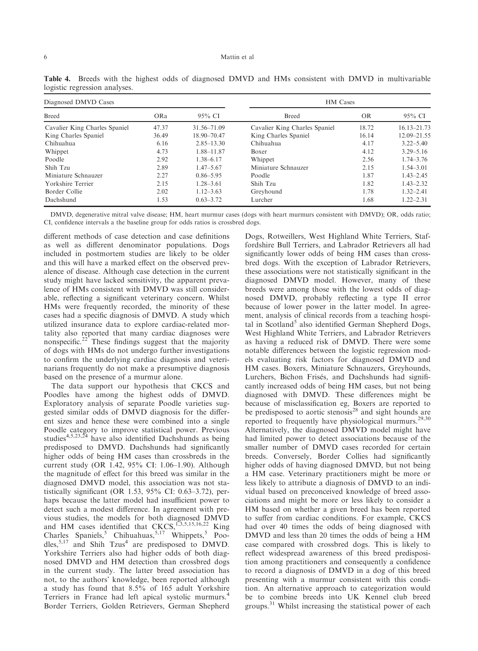| Diagnosed DMVD Cases          |            |                 | HM Cases                      |           |                 |  |
|-------------------------------|------------|-----------------|-------------------------------|-----------|-----------------|--|
| <b>Breed</b>                  | <b>ORa</b> | 95% CI          | <b>Breed</b>                  | <b>OR</b> | 95% CI          |  |
| Cavalier King Charles Spaniel | 47.37      | 31.56-71.09     | Cavalier King Charles Spaniel | 18.72     | $16.13 - 21.73$ |  |
| King Charles Spaniel          | 36.49      | $18.90 - 70.47$ | King Charles Spaniel          | 16.14     | $12.09 - 21.55$ |  |
| Chihuahua                     | 6.16       | $2.85 - 13.30$  | Chihuahua                     | 4.17      | $3.22 - 5.40$   |  |
| Whippet                       | 4.73       | 1.88-11.87      | Boxer                         | 4.12      | $3.29 - 5.16$   |  |
| Poodle                        | 2.92       | $1.38 - 6.17$   | Whippet                       | 2.56      | $1.74 - 3.76$   |  |
| Shih Tzu                      | 2.89       | $1.47 - 5.67$   | Miniature Schnauzer           | 2.15      | $1.54 - 3.01$   |  |
| Miniature Schnauzer           | 2.27       | $0.86 - 5.95$   | Poodle                        | 1.87      | $1.43 - 2.45$   |  |
| Yorkshire Terrier             | 2.15       | $1.28 - 3.61$   | Shih Tzu                      | 1.82      | $1.43 - 2.32$   |  |
| Border Collie                 | 2.02       | $1.12 - 3.63$   | Greyhound                     | 1.78      | $1.32 - 2.41$   |  |
| Dachshund                     | 1.53       | $0.63 - 3.72$   | Lurcher                       | 1.68      | $1.22 - 2.31$   |  |

Table 4. Breeds with the highest odds of diagnosed DMVD and HMs consistent with DMVD in multivariable logistic regression analyses.

DMVD, degenerative mitral valve disease; HM, heart murmur cases (dogs with heart murmurs consistent with DMVD); OR, odds ratio; CI, confidence intervals a the baseline group for odds ratios is crossbred dogs.

different methods of case detection and case definitions as well as different denominator populations. Dogs included in postmortem studies are likely to be older and this will have a marked effect on the observed prevalence of disease. Although case detection in the current study might have lacked sensitivity, the apparent prevalence of HMs consistent with DMVD was still considerable, reflecting a significant veterinary concern. Whilst HMs were frequently recorded, the minority of these cases had a specific diagnosis of DMVD. A study which utilized insurance data to explore cardiac-related mortality also reported that many cardiac diagnoses were nonspecific.<sup>22</sup> These findings suggest that the majority of dogs with HMs do not undergo further investigations to confirm the underlying cardiac diagnosis and veterinarians frequently do not make a presumptive diagnosis based on the presence of a murmur alone.

The data support our hypothesis that CKCS and Poodles have among the highest odds of DMVD. Exploratory analysis of separate Poodle varieties suggested similar odds of DMVD diagnosis for the different sizes and hence these were combined into a single Poodle category to improve statistical power. Previous studies<sup>4,5,23,24</sup> have also identified Dachshunds as being predisposed to DMVD. Dachshunds had significantly higher odds of being HM cases than crossbreds in the current study (OR 1.42, 95% CI: 1.06–1.90). Although the magnitude of effect for this breed was similar in the diagnosed DMVD model, this association was not statistically significant (OR 1.53, 95% CI: 0.63–3.72), perhaps because the latter model had insufficient power to detect such a modest difference. In agreement with previous studies, the models for both diagnosed DMVD and HM cases identified that  $CKCS$ ,<sup>1,3,5,15,16,22</sup> King Charles Spaniels,<sup>5</sup> Chihuahuas,<sup>5,17</sup> Whippets,<sup>5</sup> Poodles,<sup>5,17</sup> and Shih Tzus<sup>4</sup> are predisposed to DMVD. Yorkshire Terriers also had higher odds of both diagnosed DMVD and HM detection than crossbred dogs in the current study. The latter breed association has not, to the authors' knowledge, been reported although a study has found that 8.5% of 165 adult Yorkshire Terriers in France had left apical systolic murmurs.<sup>4</sup> Border Terriers, Golden Retrievers, German Shepherd Dogs, Rotweillers, West Highland White Terriers, Staffordshire Bull Terriers, and Labrador Retrievers all had significantly lower odds of being HM cases than crossbred dogs. With the exception of Labrador Retrievers, these associations were not statistically significant in the diagnosed DMVD model. However, many of these breeds were among those with the lowest odds of diagnosed DMVD, probably reflecting a type II error because of lower power in the latter model. In agreement, analysis of clinical records from a teaching hospital in Scotland<sup>5</sup> also identified German Shepherd Dogs, West Highland White Terriers, and Labrador Retrievers as having a reduced risk of DMVD. There were some notable differences between the logistic regression models evaluating risk factors for diagnosed DMVD and HM cases. Boxers, Miniature Schnauzers, Greyhounds, Lurchers, Bichon Frisés, and Dachshunds had significantly increased odds of being HM cases, but not being diagnosed with DMVD. These differences might be because of misclassification eg, Boxers are reported to be predisposed to aortic stenosis<sup>28</sup> and sight hounds are reported to frequently have physiological murmurs.<sup>29,30</sup> Alternatively, the diagnosed DMVD model might have had limited power to detect associations because of the smaller number of DMVD cases recorded for certain breeds. Conversely, Border Collies had significantly higher odds of having diagnosed DMVD, but not being a HM case. Veterinary practitioners might be more or less likely to attribute a diagnosis of DMVD to an individual based on preconceived knowledge of breed associations and might be more or less likely to consider a HM based on whether a given breed has been reported to suffer from cardiac conditions. For example, CKCS had over 40 times the odds of being diagnosed with DMVD and less than 20 times the odds of being a HM case compared with crossbred dogs. This is likely to reflect widespread awareness of this breed predisposition among practitioners and consequently a confidence to record a diagnosis of DMVD in a dog of this breed presenting with a murmur consistent with this condition. An alternative approach to categorization would be to combine breeds into UK Kennel club breed groups.<sup>31</sup> Whilst increasing the statistical power of each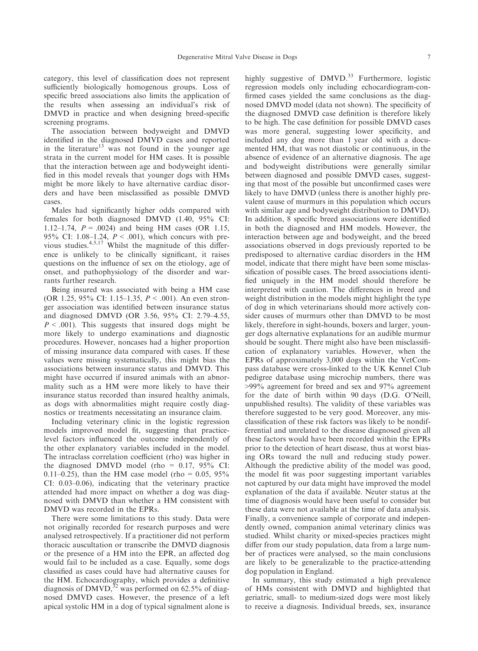category, this level of classification does not represent sufficiently biologically homogenous groups. Loss of specific breed associations also limits the application of the results when assessing an individual's risk of DMVD in practice and when designing breed-specific screening programs.

The association between bodyweight and DMVD identified in the diagnosed DMVD cases and reported in the literature<sup>13</sup> was not found in the younger age strata in the current model for HM cases. It is possible that the interaction between age and bodyweight identified in this model reveals that younger dogs with HMs might be more likely to have alternative cardiac disorders and have been misclassified as possible DMVD cases.

Males had significantly higher odds compared with females for both diagnosed DMVD (1.40, 95% CI: 1.12–1.74,  $P = .0024$ ) and being HM cases (OR 1.15, 95% CI: 1.08–1.24,  $P < .001$ ), which concurs with previous studies.4,5,17 Whilst the magnitude of this difference is unlikely to be clinically significant, it raises questions on the influence of sex on the etiology, age of onset, and pathophysiology of the disorder and warrants further research.

Being insured was associated with being a HM case (OR 1.25, 95% CI: 1.15–1.35,  $P < .001$ ). An even stronger association was identified between insurance status and diagnosed DMVD (OR 3.56, 95% CI: 2.79–4.55,  $P < .001$ ). This suggests that insured dogs might be more likely to undergo examinations and diagnostic procedures. However, noncases had a higher proportion of missing insurance data compared with cases. If these values were missing systematically, this might bias the associations between insurance status and DMVD. This might have occurred if insured animals with an abnormality such as a HM were more likely to have their insurance status recorded than insured healthy animals, as dogs with abnormalities might require costly diagnostics or treatments necessitating an insurance claim.

Including veterinary clinic in the logistic regression models improved model fit, suggesting that practicelevel factors influenced the outcome independently of the other explanatory variables included in the model. The intraclass correlation coefficient (rho) was higher in the diagnosed DMVD model (rho =  $0.17$ ,  $95\%$  CI: 0.11–0.25), than the HM case model (rho = 0.05, 95%) CI: 0.03–0.06), indicating that the veterinary practice attended had more impact on whether a dog was diagnosed with DMVD than whether a HM consistent with DMVD was recorded in the EPRs.

There were some limitations to this study. Data were not originally recorded for research purposes and were analysed retrospectively. If a practitioner did not perform thoracic auscultation or transcribe the DMVD diagnosis or the presence of a HM into the EPR, an affected dog would fail to be included as a case. Equally, some dogs classified as cases could have had alternative causes for the HM. Echocardiography, which provides a definitive diagnosis of DMVD,<sup>32</sup> was performed on 62.5% of diagnosed DMVD cases. However, the presence of a left apical systolic HM in a dog of typical signalment alone is highly suggestive of  $DMVD$ .<sup>33</sup> Furthermore, logistic regression models only including echocardiogram-confirmed cases yielded the same conclusions as the diagnosed DMVD model (data not shown). The specificity of the diagnosed DMVD case definition is therefore likely to be high. The case definition for possible DMVD cases was more general, suggesting lower specificity, and included any dog more than 1 year old with a documented HM, that was not diastolic or continuous, in the absence of evidence of an alternative diagnosis. The age and bodyweight distributions were generally similar between diagnosed and possible DMVD cases, suggesting that most of the possible but unconfirmed cases were likely to have DMVD (unless there is another highly prevalent cause of murmurs in this population which occurs with similar age and bodyweight distribution to DMVD). In addition, 8 specific breed associations were identified in both the diagnosed and HM models. However, the interaction between age and bodyweight, and the breed associations observed in dogs previously reported to be predisposed to alternative cardiac disorders in the HM model, indicate that there might have been some misclassification of possible cases. The breed associations identified uniquely in the HM model should therefore be interpreted with caution. The differences in breed and weight distribution in the models might highlight the type of dog in which veterinarians should more actively consider causes of murmurs other than DMVD to be most likely, therefore in sight-hounds, boxers and larger, younger dogs alternative explanations for an audible murmur should be sought. There might also have been misclassification of explanatory variables. However, when the EPRs of approximately 3,000 dogs within the VetCompass database were cross-linked to the UK Kennel Club pedigree database using microchip numbers, there was >99% agreement for breed and sex and 97% agreement for the date of birth within 90 days (D.G. O'Neill, unpublished results). The validity of these variables was therefore suggested to be very good. Moreover, any misclassification of these risk factors was likely to be nondifferential and unrelated to the disease diagnosed given all these factors would have been recorded within the EPRs prior to the detection of heart disease, thus at worst biasing ORs toward the null and reducing study power. Although the predictive ability of the model was good, the model fit was poor suggesting important variables not captured by our data might have improved the model explanation of the data if available. Neuter status at the time of diagnosis would have been useful to consider but these data were not available at the time of data analysis. Finally, a convenience sample of corporate and independently owned, companion animal veterinary clinics was studied. Whilst charity or mixed-species practices might differ from our study population, data from a large number of practices were analysed, so the main conclusions are likely to be generalizable to the practice-attending dog population in England.

In summary, this study estimated a high prevalence of HMs consistent with DMVD and highlighted that geriatric, small- to medium-sized dogs were most likely to receive a diagnosis. Individual breeds, sex, insurance